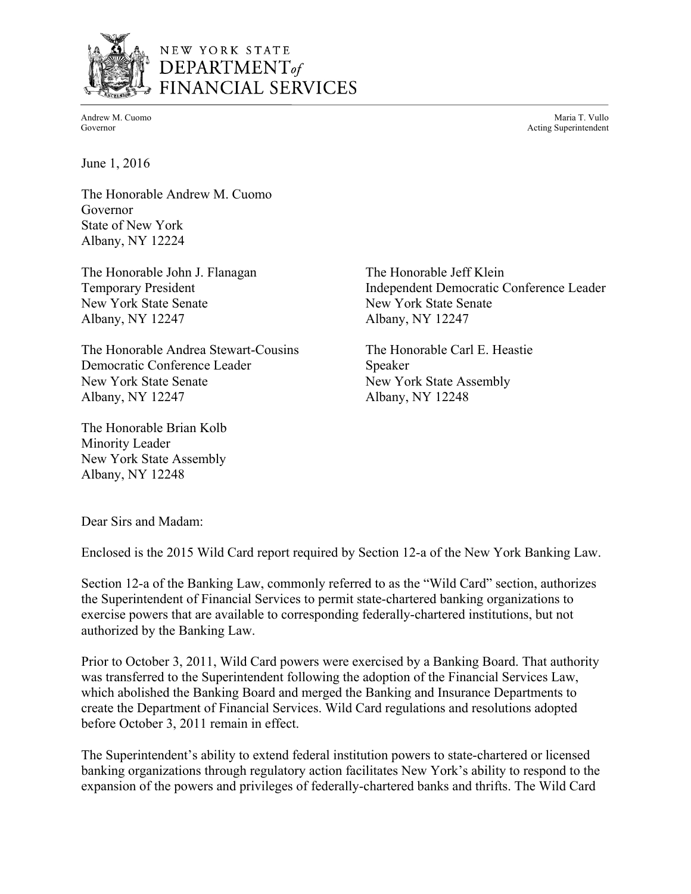

# NEW YORK STATE DEPARTMENT<sub>of</sub> FINANCIAL SERVICES

Andrew M. Cuomo Maria T. Vullo National Andrew M. Cuomo Maria T. Vullo National Andrew M. Cuomo Maria T. Vullo Governor **Acting Superintendent Acting Superintendent** 

June 1, 2016

The Honorable Andrew M. Cuomo Governor State of New York Albany, NY 12224

The Honorable John J. Flanagan The Honorable Jeff Klein New York State Senate New York State Senate Albany, NY 12247 Albany, NY 12247

The Honorable Andrea Stewart-Cousins The Honorable Carl E. Heastie Democratic Conference Leader Speaker New York State Senate New York State Assembly Albany, NY 12247 Albany, NY 12248

The Honorable Brian Kolb Minority Leader New York State Assembly Albany, NY 12248

Temporary President **Independent Democratic Conference Leader** 

Dear Sirs and Madam:

Enclosed is the 2015 Wild Card report required by Section 12-a of the New York Banking Law.

Section 12-a of the Banking Law, commonly referred to as the "Wild Card" section, authorizes the Superintendent of Financial Services to permit state-chartered banking organizations to exercise powers that are available to corresponding federally-chartered institutions, but not authorized by the Banking Law.

Prior to October 3, 2011, Wild Card powers were exercised by a Banking Board. That authority was transferred to the Superintendent following the adoption of the Financial Services Law, which abolished the Banking Board and merged the Banking and Insurance Departments to create the Department of Financial Services. Wild Card regulations and resolutions adopted before October 3, 2011 remain in effect.

The Superintendent's ability to extend federal institution powers to state-chartered or licensed banking organizations through regulatory action facilitates New York's ability to respond to the expansion of the powers and privileges of federally-chartered banks and thrifts. The Wild Card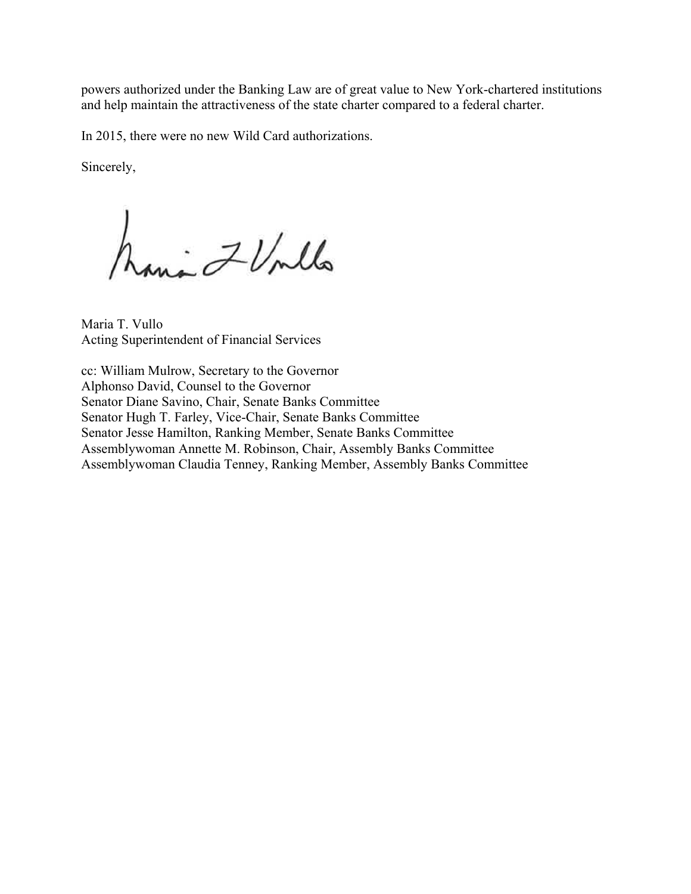powers authorized under the Banking Law are of great value to New York-chartered institutions and help maintain the attractiveness of the state charter compared to a federal charter.

In 2015, there were no new Wild Card authorizations.

Sincerely,

in ZV/mlla

Maria T. Vullo Acting Superintendent of Financial Services

cc: William Mulrow, Secretary to the Governor Alphonso David, Counsel to the Governor Senator Diane Savino, Chair, Senate Banks Committee Senator Hugh T. Farley, Vice-Chair, Senate Banks Committee Senator Jesse Hamilton, Ranking Member, Senate Banks Committee Assemblywoman Annette M. Robinson, Chair, Assembly Banks Committee Assemblywoman Claudia Tenney, Ranking Member, Assembly Banks Committee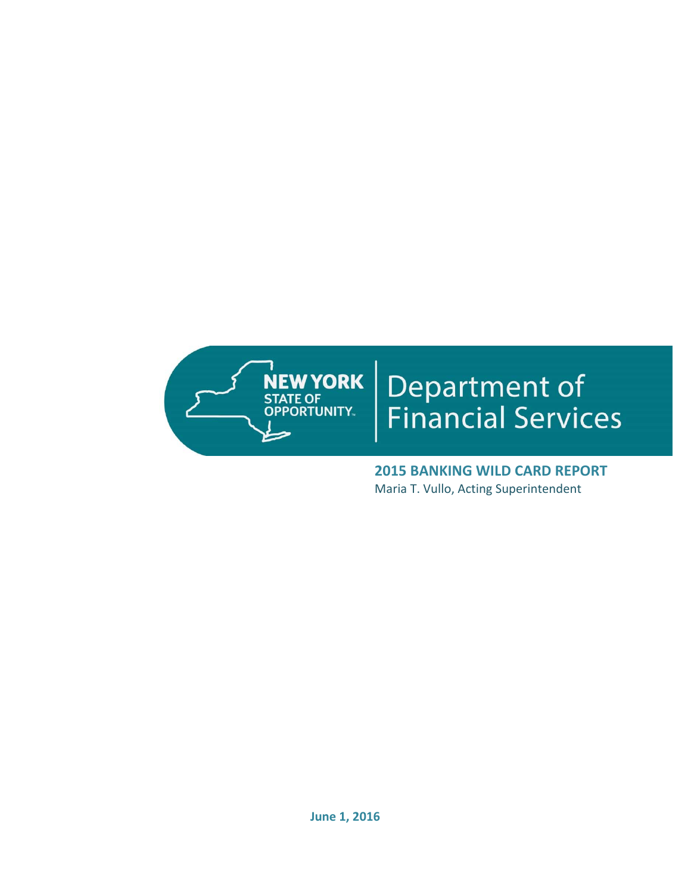

# Department of<br>Financial Services

 **2015 BANKING WILD CARD REPORT** Maria T. Vullo, Acting Superintendent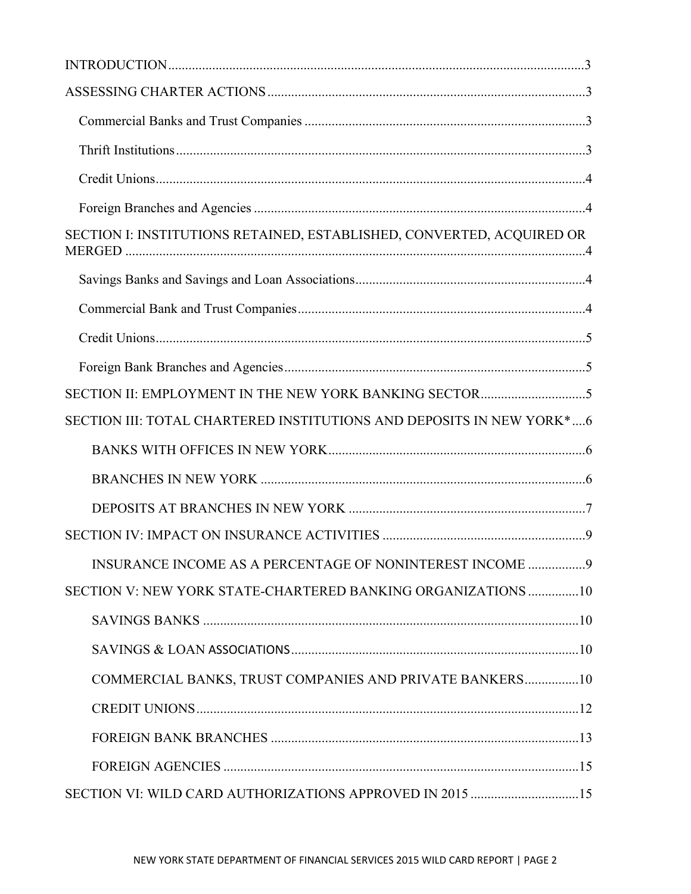| SECTION I: INSTITUTIONS RETAINED, ESTABLISHED, CONVERTED, ACQUIRED OR |  |
|-----------------------------------------------------------------------|--|
|                                                                       |  |
|                                                                       |  |
|                                                                       |  |
|                                                                       |  |
|                                                                       |  |
| SECTION III: TOTAL CHARTERED INSTITUTIONS AND DEPOSITS IN NEW YORK*6  |  |
|                                                                       |  |
|                                                                       |  |
|                                                                       |  |
|                                                                       |  |
|                                                                       |  |
| SECTION V: NEW YORK STATE-CHARTERED BANKING ORGANIZATIONS 10          |  |
|                                                                       |  |
|                                                                       |  |
| COMMERCIAL BANKS, TRUST COMPANIES AND PRIVATE BANKERS10               |  |
|                                                                       |  |
|                                                                       |  |
|                                                                       |  |
| SECTION VI: WILD CARD AUTHORIZATIONS APPROVED IN 2015 15              |  |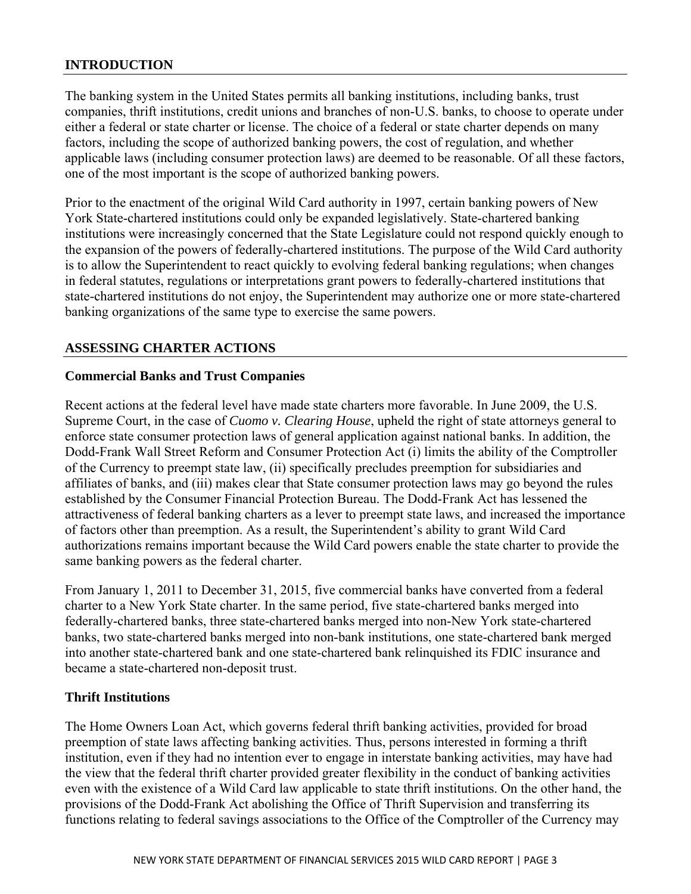# **INTRODUCTION**

The banking system in the United States permits all banking institutions, including banks, trust companies, thrift institutions, credit unions and branches of non-U.S. banks, to choose to operate under either a federal or state charter or license. The choice of a federal or state charter depends on many factors, including the scope of authorized banking powers, the cost of regulation, and whether applicable laws (including consumer protection laws) are deemed to be reasonable. Of all these factors, one of the most important is the scope of authorized banking powers.

Prior to the enactment of the original Wild Card authority in 1997, certain banking powers of New York State-chartered institutions could only be expanded legislatively. State-chartered banking institutions were increasingly concerned that the State Legislature could not respond quickly enough to the expansion of the powers of federally-chartered institutions. The purpose of the Wild Card authority is to allow the Superintendent to react quickly to evolving federal banking regulations; when changes in federal statutes, regulations or interpretations grant powers to federally-chartered institutions that state-chartered institutions do not enjoy, the Superintendent may authorize one or more state-chartered banking organizations of the same type to exercise the same powers.

# **ASSESSING CHARTER ACTIONS**

## **Commercial Banks and Trust Companies**

Recent actions at the federal level have made state charters more favorable. In June 2009, the U.S. Supreme Court, in the case of *Cuomo v. Clearing House*, upheld the right of state attorneys general to enforce state consumer protection laws of general application against national banks. In addition, the Dodd-Frank Wall Street Reform and Consumer Protection Act (i) limits the ability of the Comptroller of the Currency to preempt state law, (ii) specifically precludes preemption for subsidiaries and affiliates of banks, and (iii) makes clear that State consumer protection laws may go beyond the rules established by the Consumer Financial Protection Bureau. The Dodd-Frank Act has lessened the attractiveness of federal banking charters as a lever to preempt state laws, and increased the importance of factors other than preemption. As a result, the Superintendent's ability to grant Wild Card authorizations remains important because the Wild Card powers enable the state charter to provide the same banking powers as the federal charter.

From January 1, 2011 to December 31, 2015, five commercial banks have converted from a federal charter to a New York State charter. In the same period, five state-chartered banks merged into federally-chartered banks, three state-chartered banks merged into non-New York state-chartered banks, two state-chartered banks merged into non-bank institutions, one state-chartered bank merged into another state-chartered bank and one state-chartered bank relinquished its FDIC insurance and became a state-chartered non-deposit trust.

### **Thrift Institutions**

The Home Owners Loan Act, which governs federal thrift banking activities, provided for broad preemption of state laws affecting banking activities. Thus, persons interested in forming a thrift institution, even if they had no intention ever to engage in interstate banking activities, may have had the view that the federal thrift charter provided greater flexibility in the conduct of banking activities even with the existence of a Wild Card law applicable to state thrift institutions. On the other hand, the provisions of the Dodd-Frank Act abolishing the Office of Thrift Supervision and transferring its functions relating to federal savings associations to the Office of the Comptroller of the Currency may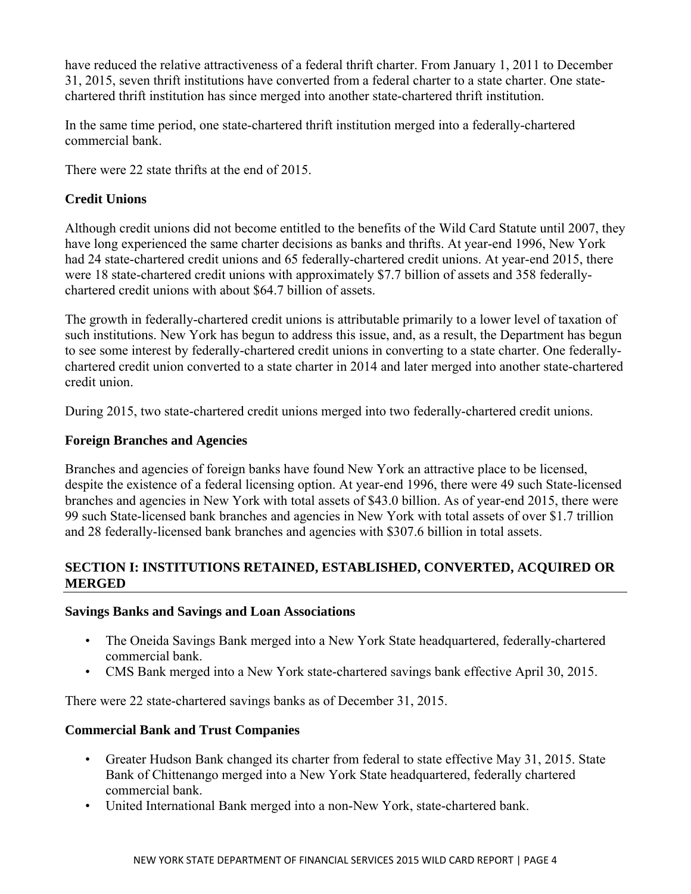have reduced the relative attractiveness of a federal thrift charter. From January 1, 2011 to December 31, 2015, seven thrift institutions have converted from a federal charter to a state charter. One statechartered thrift institution has since merged into another state-chartered thrift institution.

In the same time period, one state-chartered thrift institution merged into a federally-chartered commercial bank.

There were 22 state thrifts at the end of 2015.

# **Credit Unions**

Although credit unions did not become entitled to the benefits of the Wild Card Statute until 2007, they have long experienced the same charter decisions as banks and thrifts. At year-end 1996, New York had 24 state-chartered credit unions and 65 federally-chartered credit unions. At year-end 2015, there were 18 state-chartered credit unions with approximately \$7.7 billion of assets and 358 federallychartered credit unions with about \$64.7 billion of assets.

The growth in federally-chartered credit unions is attributable primarily to a lower level of taxation of such institutions. New York has begun to address this issue, and, as a result, the Department has begun to see some interest by federally-chartered credit unions in converting to a state charter. One federallychartered credit union converted to a state charter in 2014 and later merged into another state-chartered credit union.

During 2015, two state-chartered credit unions merged into two federally-chartered credit unions.

# **Foreign Branches and Agencies**

Branches and agencies of foreign banks have found New York an attractive place to be licensed, despite the existence of a federal licensing option. At year-end 1996, there were 49 such State-licensed branches and agencies in New York with total assets of \$43.0 billion. As of year-end 2015, there were 99 such State-licensed bank branches and agencies in New York with total assets of over \$1.7 trillion and 28 federally-licensed bank branches and agencies with \$307.6 billion in total assets.

# **SECTION I: INSTITUTIONS RETAINED, ESTABLISHED, CONVERTED, ACQUIRED OR MERGED**

# **Savings Banks and Savings and Loan Associations**

- The Oneida Savings Bank merged into a New York State headquartered, federally-chartered commercial bank.
- CMS Bank merged into a New York state-chartered savings bank effective April 30, 2015.

There were 22 state-chartered savings banks as of December 31, 2015.

# **Commercial Bank and Trust Companies**

- Greater Hudson Bank changed its charter from federal to state effective May 31, 2015. State Bank of Chittenango merged into a New York State headquartered, federally chartered commercial bank.
- • United International Bank merged into a non-New York, state-chartered bank.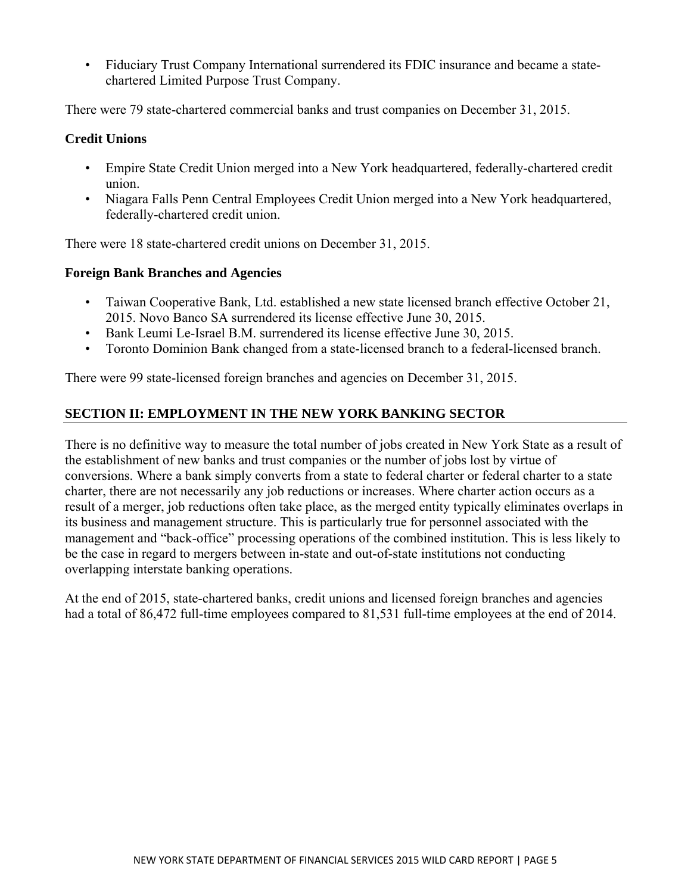<span id="page-6-0"></span>• Fiduciary Trust Company International surrendered its FDIC insurance and became a statechartered Limited Purpose Trust Company.

There were 79 state-chartered commercial banks and trust companies on December 31, 2015.

# **Credit Unions**

- Empire State Credit Union merged into a New York headquartered, federally-chartered credit union.
- • Niagara Falls Penn Central Employees Credit Union merged into a New York headquartered, federally-chartered credit union.

There were 18 state-chartered credit unions on December 31, 2015.

# **Foreign Bank Branches and Agencies**

- Taiwan Cooperative Bank, Ltd. established a new state licensed branch effective October 21, 2015. Novo Banco SA surrendered its license effective June 30, 2015.
- Bank Leumi Le-Israel B.M. surrendered its license effective June 30, 2015.
- Toronto Dominion Bank changed from a state-licensed branch to a federal-licensed branch.

There were 99 state-licensed foreign branches and agencies on December 31, 2015.

# **SECTION II: EMPLOYMENT IN THE NEW YORK BANKING SECTOR**

There is no definitive way to measure the total number of jobs created in New York State as a result of the establishment of new banks and trust companies or the number of jobs lost by virtue of conversions. Where a bank simply converts from a state to federal charter or federal charter to a state charter, there are not necessarily any job reductions or increases. Where charter action occurs as a result of a merger, job reductions often take place, as the merged entity typically eliminates overlaps in its business and management structure. This is particularly true for personnel associated with the management and "back-office" processing operations of the combined institution. This is less likely to be the case in regard to mergers between in-state and out-of-state institutions not conducting overlapping interstate banking operations.

At the end of 2015, state-chartered banks, credit unions and licensed foreign branches and agencies had a total of 86,472 full-time employees compared to 81,531 full-time employees at the end of 2014.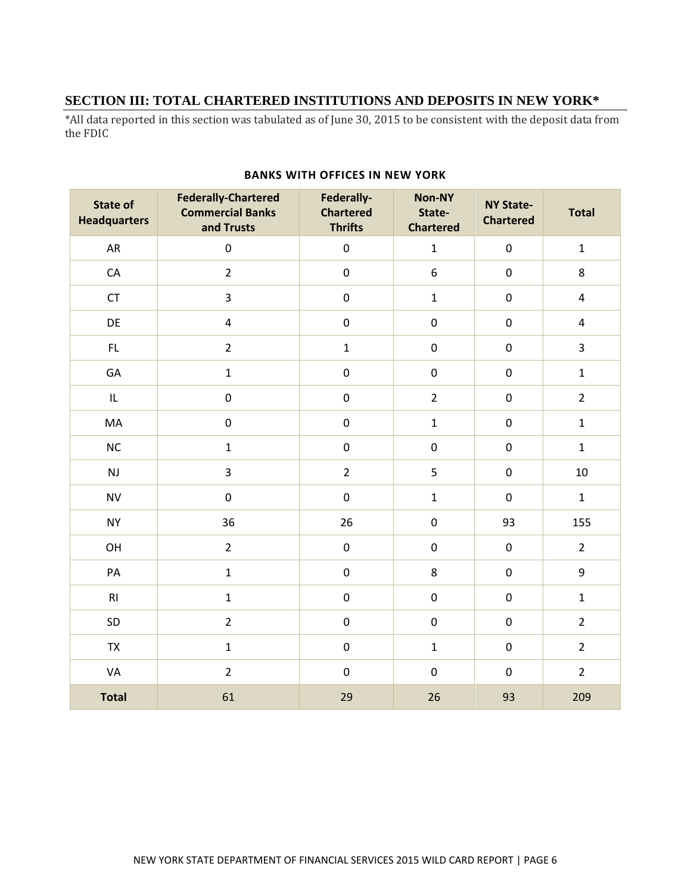# **SECTION III: TOTAL CHARTERED INSTITUTIONS AND DEPOSITS IN NEW YORK\***

\*All data reported in this section was tabulated as of June 30, 2015 to be consistent with the deposit data from the FDIC

| <b>State of</b><br><b>Headquarters</b> | <b>Federally-Chartered</b><br><b>Commercial Banks</b><br>and Trusts | Federally-<br><b>Chartered</b><br><b>Thrifts</b> | Non-NY<br>State-<br><b>Chartered</b> | <b>NY State-</b><br><b>Chartered</b> | <b>Total</b>            |
|----------------------------------------|---------------------------------------------------------------------|--------------------------------------------------|--------------------------------------|--------------------------------------|-------------------------|
| AR                                     | $\pmb{0}$                                                           | $\pmb{0}$                                        | $\mathbf{1}$                         | $\pmb{0}$                            | $\mathbf 1$             |
| ${\sf CA}$                             | $\overline{2}$                                                      | $\pmb{0}$                                        | 6                                    | $\pmb{0}$                            | 8                       |
| CT                                     | $\overline{3}$                                                      | $\pmb{0}$                                        | $\mathbf{1}$                         | $\boldsymbol{0}$                     | $\overline{4}$          |
| DE                                     | $\pmb{4}$                                                           | $\boldsymbol{0}$                                 | $\boldsymbol{0}$                     | $\boldsymbol{0}$                     | $\overline{4}$          |
| FL.                                    | $\overline{2}$                                                      | $\mathbf 1$                                      | $\pmb{0}$                            | $\boldsymbol{0}$                     | $\overline{\mathbf{3}}$ |
| GA                                     | $\mathbf{1}$                                                        | $\pmb{0}$                                        | $\pmb{0}$                            | $\pmb{0}$                            | $\mathbf 1$             |
| IL.                                    | $\pmb{0}$                                                           | $\pmb{0}$                                        | $\overline{2}$                       | $\pmb{0}$                            | $\overline{2}$          |
| MA                                     | $\pmb{0}$                                                           | $\boldsymbol{0}$                                 | $\mathbf{1}$                         | $\pmb{0}$                            | $\mathbf 1$             |
| $NC$                                   | $\mathbf{1}$                                                        | $\boldsymbol{0}$                                 | $\pmb{0}$                            | $\boldsymbol{0}$                     | $\mathbf 1$             |
| $\mathsf{NJ}$                          | 3                                                                   | $\overline{2}$                                   | 5                                    | $\boldsymbol{0}$                     | 10                      |
| <b>NV</b>                              | $\pmb{0}$                                                           | $\pmb{0}$                                        | $\mathbf{1}$                         | $\pmb{0}$                            | $\mathbf 1$             |
| <b>NY</b>                              | 36                                                                  | 26                                               | $\pmb{0}$                            | 93                                   | 155                     |
| OH                                     | $\overline{2}$                                                      | $\pmb{0}$                                        | $\pmb{0}$                            | $\pmb{0}$                            | $\overline{2}$          |
| $\mathsf{PA}$                          | $\mathbf 1$                                                         | $\boldsymbol{0}$                                 | 8                                    | $\pmb{0}$                            | $\boldsymbol{9}$        |
| RI                                     | $\mathbf 1$                                                         | $\boldsymbol{0}$                                 | $\pmb{0}$                            | $\boldsymbol{0}$                     | $\mathbf{1}$            |
| SD                                     | $\overline{2}$                                                      | $\pmb{0}$                                        | $\pmb{0}$                            | $\pmb{0}$                            | $\overline{2}$          |
| <b>TX</b>                              | $\mathbf 1$                                                         | $\pmb{0}$                                        | $\mathbf{1}$                         | $\pmb{0}$                            | $\overline{2}$          |
| VA                                     | $\overline{2}$                                                      | $\pmb{0}$                                        | $\pmb{0}$                            | $\pmb{0}$                            | $\overline{2}$          |
| <b>Total</b>                           | 61                                                                  | 29                                               | 26                                   | 93                                   | 209                     |

### **BANKS WITH OFFICES IN NEW YORK**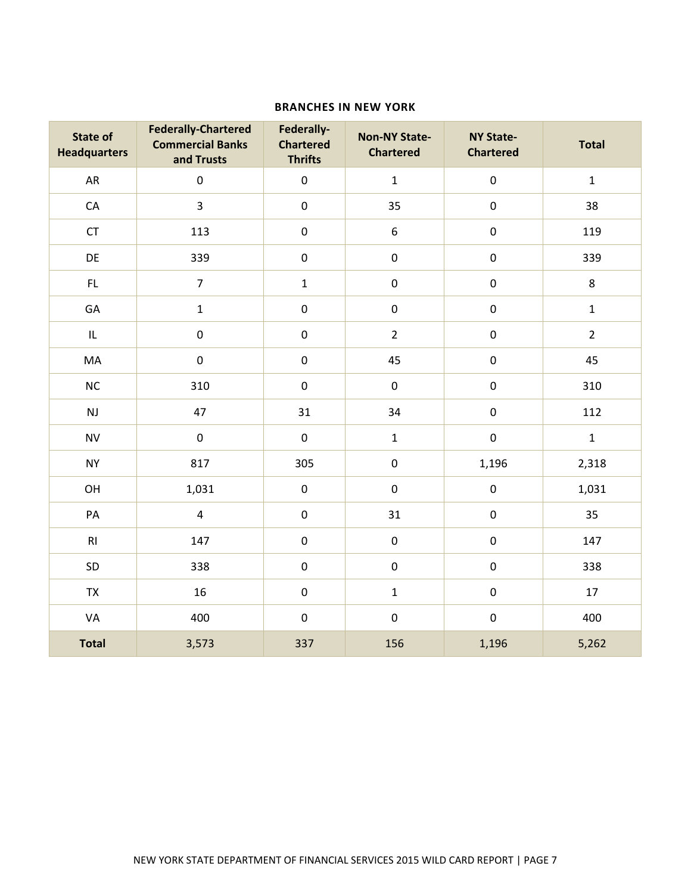### **BRANCHES IN NEW YORK**

| <b>State of</b><br><b>Headquarters</b> | <b>Federally-Chartered</b><br><b>Commercial Banks</b><br>and Trusts | Federally-<br><b>Chartered</b><br><b>Thrifts</b> | <b>Non-NY State-</b><br><b>Chartered</b> | <b>NY State-</b><br><b>Chartered</b> | <b>Total</b>   |
|----------------------------------------|---------------------------------------------------------------------|--------------------------------------------------|------------------------------------------|--------------------------------------|----------------|
| AR                                     | $\pmb{0}$                                                           | $\pmb{0}$                                        | $\mathbf 1$                              | $\mathbf 0$                          | $\mathbf 1$    |
| CA                                     | $\mathbf{3}$                                                        | $\pmb{0}$                                        | 35                                       | $\pmb{0}$                            | 38             |
| CT                                     | 113                                                                 | $\pmb{0}$                                        | $\boldsymbol{6}$                         | $\pmb{0}$                            | 119            |
| DE                                     | 339                                                                 | $\pmb{0}$                                        | $\pmb{0}$                                | $\pmb{0}$                            | 339            |
| $\mathsf{FL}$                          | $\overline{7}$                                                      | $\mathbf 1$                                      | $\pmb{0}$                                | $\pmb{0}$                            | $\,8\,$        |
| GA                                     | $\mathbf 1$                                                         | $\pmb{0}$                                        | $\pmb{0}$                                | $\pmb{0}$                            | $\mathbf 1$    |
| IL                                     | $\pmb{0}$                                                           | $\pmb{0}$                                        | $\overline{2}$                           | $\pmb{0}$                            | $\overline{2}$ |
| MA                                     | $\boldsymbol{0}$                                                    | $\pmb{0}$                                        | 45                                       | $\pmb{0}$                            | 45             |
| $NC$                                   | 310                                                                 | $\pmb{0}$                                        | $\pmb{0}$                                | $\pmb{0}$                            | 310            |
| $\mathsf{NJ}$                          | 47                                                                  | 31                                               | 34                                       | $\pmb{0}$                            | 112            |
| <b>NV</b>                              | $\boldsymbol{0}$                                                    | $\pmb{0}$                                        | $\mathbf 1$                              | $\pmb{0}$                            | $\mathbf 1$    |
| <b>NY</b>                              | 817                                                                 | 305                                              | $\mathbf 0$                              | 1,196                                | 2,318          |
| OH                                     | 1,031                                                               | $\pmb{0}$                                        | $\pmb{0}$                                | $\pmb{0}$                            | 1,031          |
| PA                                     | $\overline{\mathbf{4}}$                                             | $\pmb{0}$                                        | 31                                       | $\mathbf 0$                          | 35             |
| RI                                     | 147                                                                 | $\pmb{0}$                                        | $\boldsymbol{0}$                         | $\pmb{0}$                            | 147            |
| SD                                     | 338                                                                 | $\pmb{0}$                                        | $\pmb{0}$                                | $\pmb{0}$                            | 338            |
| ${\sf TX}$                             | 16                                                                  | $\pmb{0}$                                        | $\mathbf 1$                              | $\pmb{0}$                            | 17             |
| VA                                     | 400                                                                 | $\pmb{0}$                                        | $\pmb{0}$                                | $\pmb{0}$                            | 400            |
| <b>Total</b>                           | 3,573                                                               | 337                                              | 156                                      | 1,196                                | 5,262          |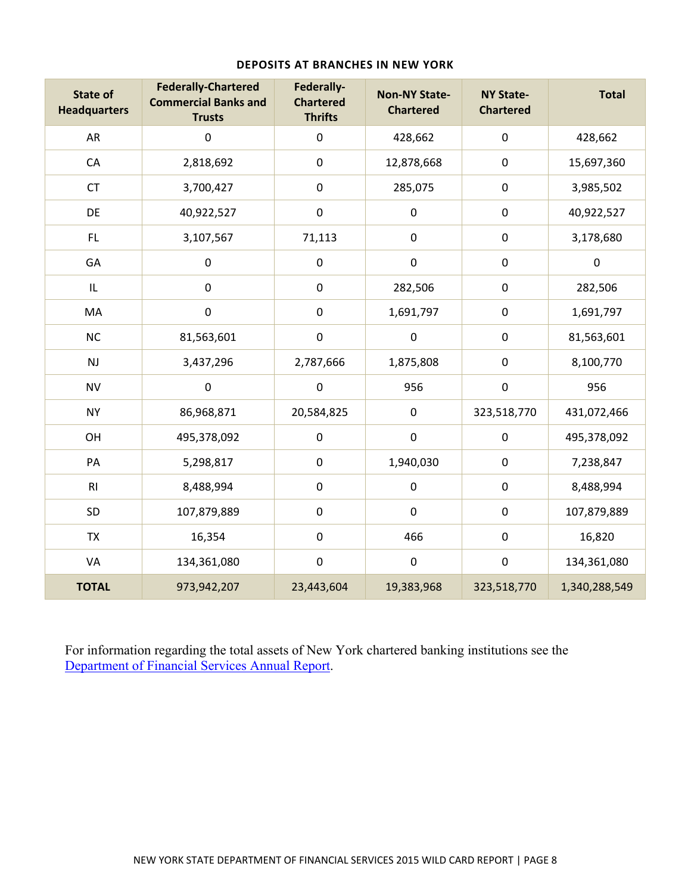| <b>State of</b><br><b>Headquarters</b> | <b>Federally-Chartered</b><br><b>Commercial Banks and</b><br><b>Trusts</b> | Federally-<br><b>Chartered</b><br><b>Thrifts</b> | <b>Non-NY State-</b><br><b>Chartered</b> | <b>NY State-</b><br><b>Chartered</b> | <b>Total</b>  |
|----------------------------------------|----------------------------------------------------------------------------|--------------------------------------------------|------------------------------------------|--------------------------------------|---------------|
| AR                                     | $\boldsymbol{0}$                                                           | $\pmb{0}$                                        | 428,662                                  | $\pmb{0}$                            | 428,662       |
| ${\sf CA}$                             | 2,818,692                                                                  | $\pmb{0}$                                        | 12,878,668                               | $\pmb{0}$                            | 15,697,360    |
| <b>CT</b>                              | 3,700,427                                                                  | $\pmb{0}$                                        | 285,075                                  | $\pmb{0}$                            | 3,985,502     |
| DE                                     | 40,922,527                                                                 | $\mathbf 0$                                      | $\mathbf 0$                              | $\pmb{0}$                            | 40,922,527    |
| FL.                                    | 3,107,567                                                                  | 71,113                                           | $\mathbf 0$                              | $\pmb{0}$                            | 3,178,680     |
| GA                                     | $\pmb{0}$                                                                  | $\pmb{0}$                                        | $\pmb{0}$                                | $\pmb{0}$                            | $\pmb{0}$     |
| IL                                     | $\boldsymbol{0}$                                                           | $\mathbf 0$                                      | 282,506                                  | $\pmb{0}$                            | 282,506       |
| MA                                     | $\boldsymbol{0}$                                                           | $\boldsymbol{0}$                                 | 1,691,797                                | $\boldsymbol{0}$                     | 1,691,797     |
| NC                                     | 81,563,601                                                                 | $\pmb{0}$                                        | $\pmb{0}$                                | $\pmb{0}$                            | 81,563,601    |
| NJ                                     | 3,437,296                                                                  | 2,787,666                                        | 1,875,808                                | $\pmb{0}$                            | 8,100,770     |
| <b>NV</b>                              | $\boldsymbol{0}$                                                           | $\mathbf 0$                                      | 956                                      | $\pmb{0}$                            | 956           |
| <b>NY</b>                              | 86,968,871                                                                 | 20,584,825                                       | $\mathbf 0$                              | 323,518,770                          | 431,072,466   |
| OH                                     | 495,378,092                                                                | $\pmb{0}$                                        | $\boldsymbol{0}$                         | $\pmb{0}$                            | 495,378,092   |
| PA                                     | 5,298,817                                                                  | $\pmb{0}$                                        | 1,940,030                                | $\pmb{0}$                            | 7,238,847     |
| R <sub>l</sub>                         | 8,488,994                                                                  | $\boldsymbol{0}$                                 | $\mathbf 0$                              | $\pmb{0}$                            | 8,488,994     |
| SD                                     | 107,879,889                                                                | $\pmb{0}$                                        | $\pmb{0}$                                | $\pmb{0}$                            | 107,879,889   |
| <b>TX</b>                              | 16,354                                                                     | $\pmb{0}$                                        | 466                                      | $\pmb{0}$                            | 16,820        |
| VA                                     | 134,361,080                                                                | $\pmb{0}$                                        | $\pmb{0}$                                | $\pmb{0}$                            | 134,361,080   |
| <b>TOTAL</b>                           | 973,942,207                                                                | 23,443,604                                       | 19,383,968                               | 323,518,770                          | 1,340,288,549 |

### **DEPOSITS AT BRANCHES IN NEW YORK**

For information regarding the total assets of New York chartered banking institutions see the Department of Financial Services Annual Report.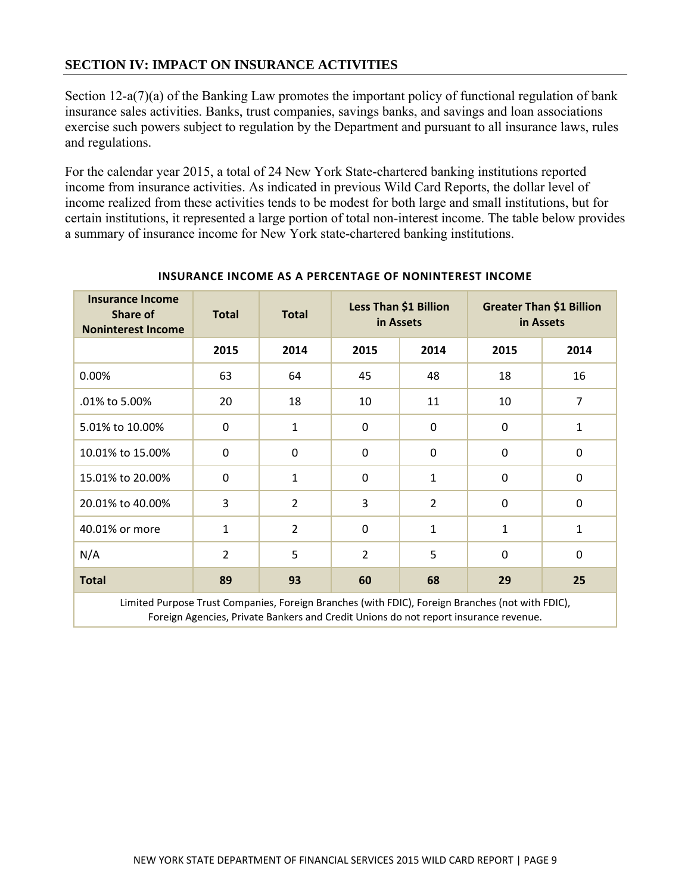# **SECTION IV: IMPACT ON INSURANCE ACTIVITIES**

Section 12-a(7)(a) of the Banking Law promotes the important policy of functional regulation of bank insurance sales activities. Banks, trust companies, savings banks, and savings and loan associations exercise such powers subject to regulation by the Department and pursuant to all insurance laws, rules and regulations.

For the calendar year 2015, a total of 24 New York State-chartered banking institutions reported income from insurance activities. As indicated in previous Wild Card Reports, the dollar level of income realized from these activities tends to be modest for both large and small institutions, but for certain institutions, it represented a large portion of total non-interest income. The table below provides a summary of insurance income for New York state-chartered banking institutions.

| <b>Insurance Income</b><br><b>Share of</b><br><b>Noninterest Income</b> | <b>Total</b>   | <b>Total</b>   | Less Than \$1 Billion<br>in Assets |                | <b>Greater Than \$1 Billion</b><br>in Assets |                |
|-------------------------------------------------------------------------|----------------|----------------|------------------------------------|----------------|----------------------------------------------|----------------|
|                                                                         | 2015           | 2014           | 2015                               | 2014           | 2015                                         | 2014           |
| 0.00%                                                                   | 63             | 64             | 45                                 | 48             | 18                                           | 16             |
| .01% to 5.00%                                                           | 20             | 18             | 10                                 | 11             | 10                                           | $\overline{7}$ |
| 5.01% to 10.00%                                                         | $\mathbf 0$    | $\mathbf{1}$   | 0                                  | $\Omega$       | $\mathbf 0$                                  | $\mathbf{1}$   |
| 10.01% to 15.00%                                                        | $\Omega$       | 0              | 0                                  | $\Omega$       | $\Omega$                                     | $\Omega$       |
| 15.01% to 20.00%                                                        | $\mathbf 0$    | 1              | 0                                  | 1              | $\mathbf 0$                                  | $\mathbf 0$    |
| 20.01% to 40.00%                                                        | 3              | $\overline{2}$ | 3                                  | $\overline{2}$ | $\mathbf 0$                                  | $\mathbf 0$    |
| 40.01% or more                                                          | $\mathbf{1}$   | $\overline{2}$ | 0                                  | $\mathbf{1}$   | $\mathbf{1}$                                 | $\mathbf{1}$   |
| N/A                                                                     | $\overline{2}$ | 5              | $\overline{2}$                     | 5              | $\mathbf 0$                                  | $\mathbf 0$    |
| <b>Total</b>                                                            | 89             | 93             | 60                                 | 68             | 29                                           | 25             |

### **INSURANCE INCOME AS A PERCENTAGE OF NONINTEREST INCOME**

 Limited Purpose Trust Companies, Foreign Branches (with FDIC), Foreign Branches (not with FDIC), Foreign Agencies, Private Bankers and Credit Unions do not report insurance revenue.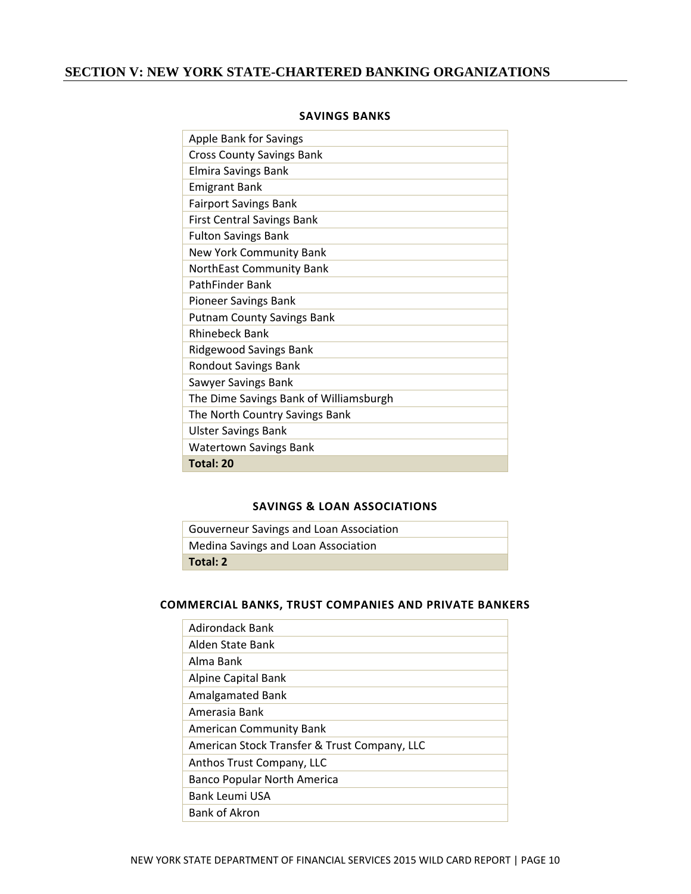# **SECTION V: NEW YORK STATE-CHARTERED BANKING ORGANIZATIONS**

| <b>Apple Bank for Savings</b>          |
|----------------------------------------|
| <b>Cross County Savings Bank</b>       |
| Elmira Savings Bank                    |
| <b>Emigrant Bank</b>                   |
| <b>Fairport Savings Bank</b>           |
| <b>First Central Savings Bank</b>      |
| <b>Fulton Savings Bank</b>             |
| New York Community Bank                |
| NorthEast Community Bank               |
| <b>PathFinder Bank</b>                 |
| <b>Pioneer Savings Bank</b>            |
| <b>Putnam County Savings Bank</b>      |
| <b>Rhinebeck Bank</b>                  |
| Ridgewood Savings Bank                 |
| <b>Rondout Savings Bank</b>            |
| Sawyer Savings Bank                    |
| The Dime Savings Bank of Williamsburgh |
| The North Country Savings Bank         |
| <b>Ulster Savings Bank</b>             |
| <b>Watertown Savings Bank</b>          |
| Total: 20                              |

### **SAVINGS BANKS**

### **SAVINGS & LOAN ASSOCIATIONS**

| Gouverneur Savings and Loan Association |
|-----------------------------------------|
| Medina Savings and Loan Association     |
| Total: 2                                |

### **COMMERCIAL BANKS, TRUST COMPANIES AND PRIVATE BANKERS**

| Adirondack Bank                              |
|----------------------------------------------|
| Alden State Bank                             |
| Alma Bank                                    |
| Alpine Capital Bank                          |
| Amalgamated Bank                             |
| Amerasia Bank                                |
| <b>American Community Bank</b>               |
| American Stock Transfer & Trust Company, LLC |
| Anthos Trust Company, LLC                    |
| <b>Banco Popular North America</b>           |
| <b>Bank Leumi USA</b>                        |
| <b>Bank of Akron</b>                         |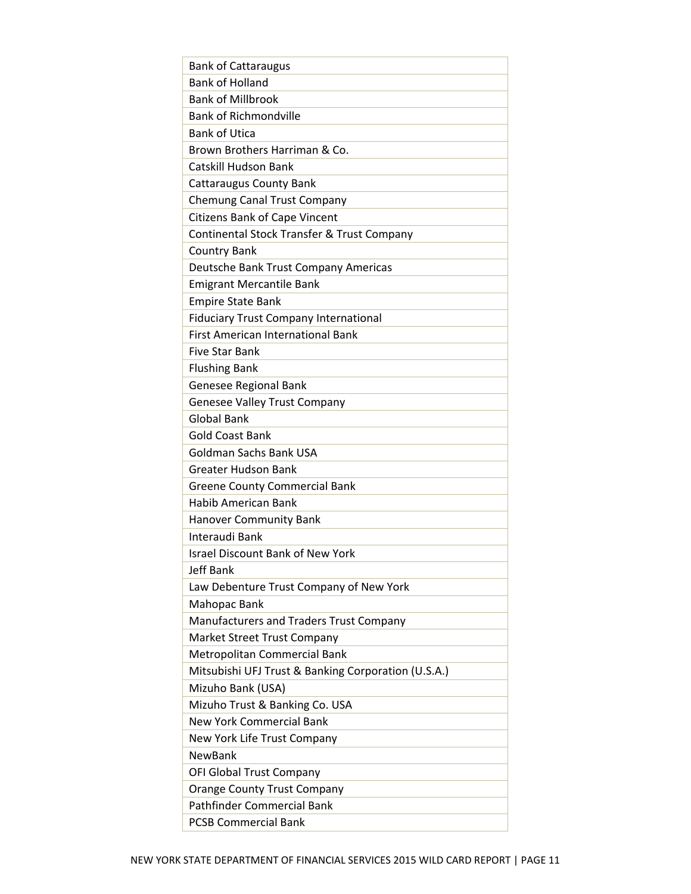| <b>Bank of Cattaraugus</b>                          |
|-----------------------------------------------------|
| <b>Bank of Holland</b>                              |
| <b>Bank of Millbrook</b>                            |
| <b>Bank of Richmondville</b>                        |
| <b>Bank of Utica</b>                                |
| Brown Brothers Harriman & Co.                       |
| <b>Catskill Hudson Bank</b>                         |
| <b>Cattaraugus County Bank</b>                      |
| <b>Chemung Canal Trust Company</b>                  |
| <b>Citizens Bank of Cape Vincent</b>                |
| Continental Stock Transfer & Trust Company          |
| <b>Country Bank</b>                                 |
| Deutsche Bank Trust Company Americas                |
| <b>Emigrant Mercantile Bank</b>                     |
| <b>Empire State Bank</b>                            |
| <b>Fiduciary Trust Company International</b>        |
| <b>First American International Bank</b>            |
| <b>Five Star Bank</b>                               |
| <b>Flushing Bank</b>                                |
| Genesee Regional Bank                               |
| <b>Genesee Valley Trust Company</b>                 |
| <b>Global Bank</b>                                  |
| <b>Gold Coast Bank</b>                              |
| Goldman Sachs Bank USA                              |
| <b>Greater Hudson Bank</b>                          |
| <b>Greene County Commercial Bank</b>                |
| <b>Habib American Bank</b>                          |
| <b>Hanover Community Bank</b>                       |
| Interaudi Bank                                      |
| <b>Israel Discount Bank of New York</b>             |
| <b>Jeff Bank</b>                                    |
| Law Debenture Trust Company of New York             |
| Mahopac Bank                                        |
| Manufacturers and Traders Trust Company             |
| <b>Market Street Trust Company</b>                  |
| Metropolitan Commercial Bank                        |
| Mitsubishi UFJ Trust & Banking Corporation (U.S.A.) |
| Mizuho Bank (USA)                                   |
| Mizuho Trust & Banking Co. USA                      |
| <b>New York Commercial Bank</b>                     |
| New York Life Trust Company                         |
| <b>NewBank</b>                                      |
| OFI Global Trust Company                            |
| <b>Orange County Trust Company</b>                  |
| <b>Pathfinder Commercial Bank</b>                   |
| <b>PCSB Commercial Bank</b>                         |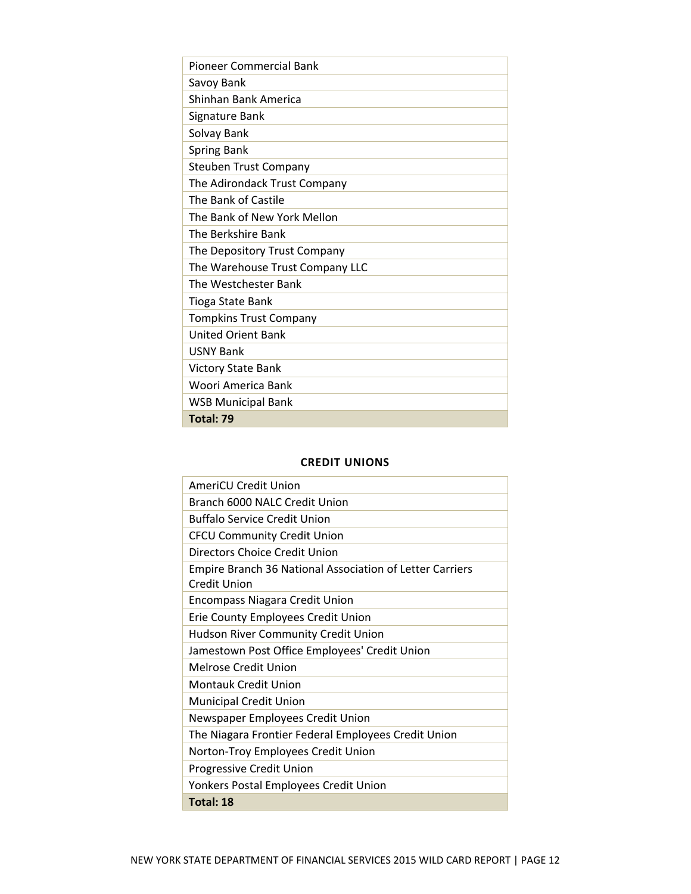| Pioneer Commercial Bank         |
|---------------------------------|
| Savoy Bank                      |
| Shinhan Bank America            |
| Signature Bank                  |
| Solvay Bank                     |
| <b>Spring Bank</b>              |
| <b>Steuben Trust Company</b>    |
| The Adirondack Trust Company    |
| The Bank of Castile             |
| The Bank of New York Mellon     |
| The Berkshire Bank              |
| The Depository Trust Company    |
| The Warehouse Trust Company LLC |
| The Westchester Bank            |
| <b>Tioga State Bank</b>         |
| <b>Tompkins Trust Company</b>   |
| <b>United Orient Bank</b>       |
| <b>USNY Bank</b>                |
| <b>Victory State Bank</b>       |
| Woori America Bank              |
| <b>WSB Municipal Bank</b>       |
| Total: 79                       |

### **CREDIT UNIONS**

| AmeriCU Credit Union                                     |
|----------------------------------------------------------|
| Branch 6000 NALC Credit Union                            |
| <b>Buffalo Service Credit Union</b>                      |
| <b>CFCU Community Credit Union</b>                       |
| Directors Choice Credit Union                            |
| Empire Branch 36 National Association of Letter Carriers |
| Credit Union                                             |
| <b>Encompass Niagara Credit Union</b>                    |
| Erie County Employees Credit Union                       |
| Hudson River Community Credit Union                      |
| Jamestown Post Office Employees' Credit Union            |
|                                                          |
| Melrose Credit Union                                     |
| <b>Montauk Credit Union</b>                              |
| <b>Municipal Credit Union</b>                            |
| Newspaper Employees Credit Union                         |
| The Niagara Frontier Federal Employees Credit Union      |
| Norton-Troy Employees Credit Union                       |
| Progressive Credit Union                                 |
| Yonkers Postal Employees Credit Union                    |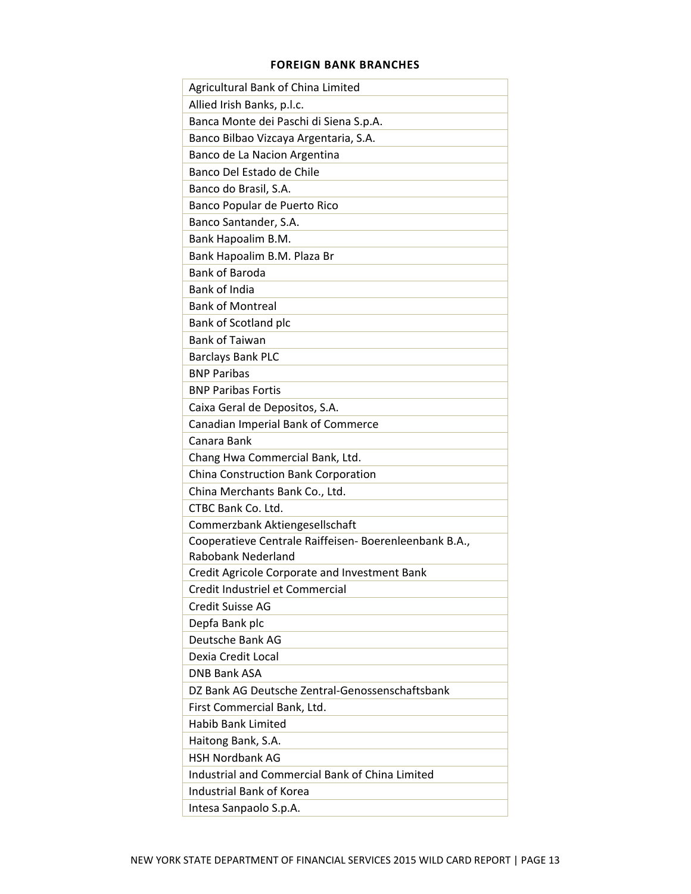### **FOREIGN BANK BRANCHES**

| Agricultural Bank of China Limited                     |
|--------------------------------------------------------|
| Allied Irish Banks, p.l.c.                             |
| Banca Monte dei Paschi di Siena S.p.A.                 |
| Banco Bilbao Vizcaya Argentaria, S.A.                  |
| Banco de La Nacion Argentina                           |
| Banco Del Estado de Chile                              |
| Banco do Brasil, S.A.                                  |
| Banco Popular de Puerto Rico                           |
| Banco Santander, S.A.                                  |
| Bank Hapoalim B.M.                                     |
| Bank Hapoalim B.M. Plaza Br                            |
| <b>Bank of Baroda</b>                                  |
| <b>Bank of India</b>                                   |
| <b>Bank of Montreal</b>                                |
| Bank of Scotland plc                                   |
| <b>Bank of Taiwan</b>                                  |
| <b>Barclays Bank PLC</b>                               |
| <b>BNP Paribas</b>                                     |
| <b>BNP Paribas Fortis</b>                              |
| Caixa Geral de Depositos, S.A.                         |
| Canadian Imperial Bank of Commerce                     |
| Canara Bank                                            |
| Chang Hwa Commercial Bank, Ltd.                        |
| China Construction Bank Corporation                    |
| China Merchants Bank Co., Ltd.                         |
| CTBC Bank Co. Ltd.                                     |
| Commerzbank Aktiengesellschaft                         |
| Cooperatieve Centrale Raiffeisen- Boerenleenbank B.A., |
| <b>Rabobank Nederland</b>                              |
| Credit Agricole Corporate and Investment Bank          |
| Credit Industriel et Commercial                        |
| <b>Credit Suisse AG</b>                                |
| Depfa Bank plc                                         |
| Deutsche Bank AG                                       |
| Dexia Credit Local                                     |
| <b>DNB Bank ASA</b>                                    |
| DZ Bank AG Deutsche Zentral-Genossenschaftsbank        |
| First Commercial Bank, Ltd.                            |
| <b>Habib Bank Limited</b>                              |
| Haitong Bank, S.A.                                     |
| <b>HSH Nordbank AG</b>                                 |
| Industrial and Commercial Bank of China Limited        |
| Industrial Bank of Korea                               |
| Intesa Sanpaolo S.p.A.                                 |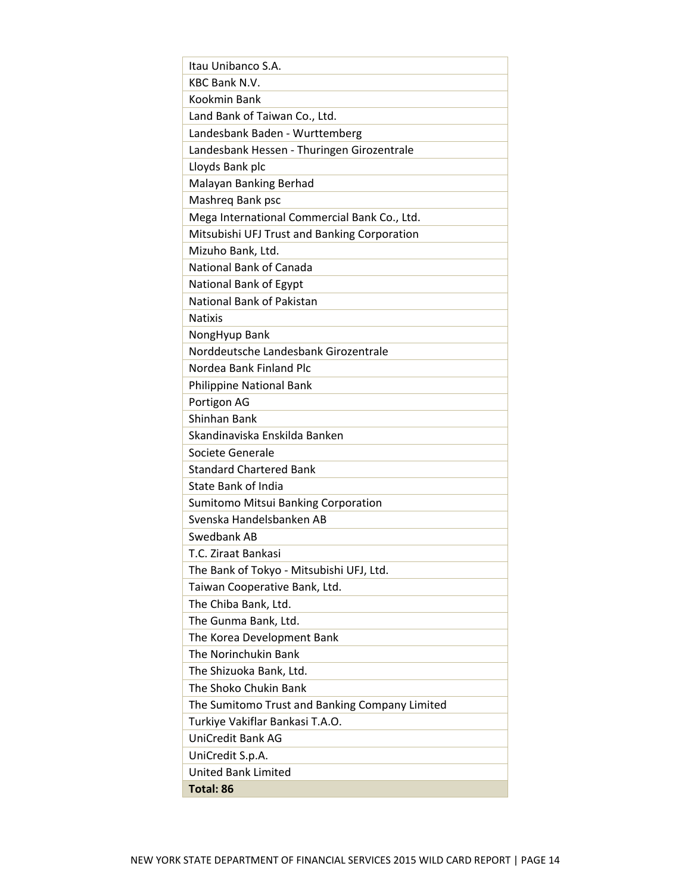| Itau Unibanco S.A.                             |
|------------------------------------------------|
| <b>KBC Bank N.V.</b>                           |
| Kookmin Bank                                   |
| Land Bank of Taiwan Co., Ltd.                  |
| Landesbank Baden - Wurttemberg                 |
| Landesbank Hessen - Thuringen Girozentrale     |
| Lloyds Bank plc                                |
| Malayan Banking Berhad                         |
| Mashreg Bank psc                               |
| Mega International Commercial Bank Co., Ltd.   |
| Mitsubishi UFJ Trust and Banking Corporation   |
| Mizuho Bank, Ltd.                              |
| <b>National Bank of Canada</b>                 |
| National Bank of Egypt                         |
| National Bank of Pakistan                      |
| <b>Natixis</b>                                 |
| NongHyup Bank                                  |
| Norddeutsche Landesbank Girozentrale           |
| Nordea Bank Finland Plc                        |
| <b>Philippine National Bank</b>                |
| Portigon AG                                    |
| Shinhan Bank                                   |
| Skandinaviska Enskilda Banken                  |
| Societe Generale                               |
| <b>Standard Chartered Bank</b>                 |
| <b>State Bank of India</b>                     |
| Sumitomo Mitsui Banking Corporation            |
| Svenska Handelsbanken AB                       |
| Swedbank AB                                    |
| T.C. Ziraat Bankasi                            |
| The Bank of Tokyo - Mitsubishi UFJ, Ltd.       |
| Taiwan Cooperative Bank, Ltd.                  |
| The Chiba Bank, Ltd.                           |
| The Gunma Bank, Ltd.                           |
| The Korea Development Bank                     |
| The Norinchukin Bank                           |
| The Shizuoka Bank, Ltd.                        |
| The Shoko Chukin Bank                          |
| The Sumitomo Trust and Banking Company Limited |
| Turkiye Vakiflar Bankasi T.A.O.                |
| <b>UniCredit Bank AG</b>                       |
| UniCredit S.p.A.                               |
| <b>United Bank Limited</b>                     |
| <b>Total: 86</b>                               |